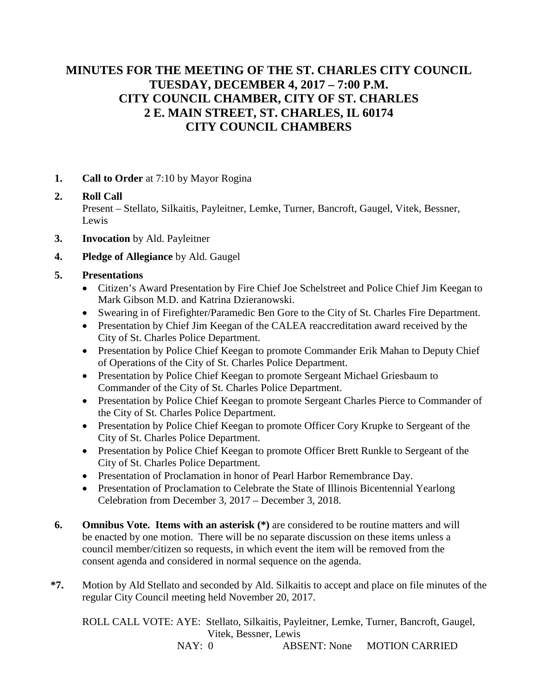# **MINUTES FOR THE MEETING OF THE ST. CHARLES CITY COUNCIL TUESDAY, DECEMBER 4, 2017 – 7:00 P.M. CITY COUNCIL CHAMBER, CITY OF ST. CHARLES 2 E. MAIN STREET, ST. CHARLES, IL 60174 CITY COUNCIL CHAMBERS**

**1. Call to Order** at 7:10 by Mayor Rogina

## **2. Roll Call** Present – Stellato, Silkaitis, Payleitner, Lemke, Turner, Bancroft, Gaugel, Vitek, Bessner, Lewis

- **3. Invocation** by Ald. Payleitner
- **4. Pledge of Allegiance** by Ald. Gaugel

#### **5. Presentations**

- Citizen's Award Presentation by Fire Chief Joe Schelstreet and Police Chief Jim Keegan to Mark Gibson M.D. and Katrina Dzieranowski.
- Swearing in of Firefighter/Paramedic Ben Gore to the City of St. Charles Fire Department.
- Presentation by Chief Jim Keegan of the CALEA reaccreditation award received by the City of St. Charles Police Department.
- Presentation by Police Chief Keegan to promote Commander Erik Mahan to Deputy Chief of Operations of the City of St. Charles Police Department.
- Presentation by Police Chief Keegan to promote Sergeant Michael Griesbaum to Commander of the City of St. Charles Police Department.
- Presentation by Police Chief Keegan to promote Sergeant Charles Pierce to Commander of the City of St. Charles Police Department.
- Presentation by Police Chief Keegan to promote Officer Cory Krupke to Sergeant of the City of St. Charles Police Department.
- Presentation by Police Chief Keegan to promote Officer Brett Runkle to Sergeant of the City of St. Charles Police Department.
- Presentation of Proclamation in honor of Pearl Harbor Remembrance Day.
- Presentation of Proclamation to Celebrate the State of Illinois Bicentennial Yearlong Celebration from December 3, 2017 – December 3, 2018.
- **6. Omnibus Vote. Items with an asterisk (\*)** are considered to be routine matters and will be enacted by one motion. There will be no separate discussion on these items unless a council member/citizen so requests, in which event the item will be removed from the consent agenda and considered in normal sequence on the agenda.
- **\*7.** Motion by Ald Stellato and seconded by Ald. Silkaitis to accept and place on file minutes of the regular City Council meeting held November 20, 2017.

ROLL CALL VOTE: AYE: Stellato, Silkaitis, Payleitner, Lemke, Turner, Bancroft, Gaugel, Vitek, Bessner, Lewis

NAY: 0 **ABSENT: None MOTION CARRIED**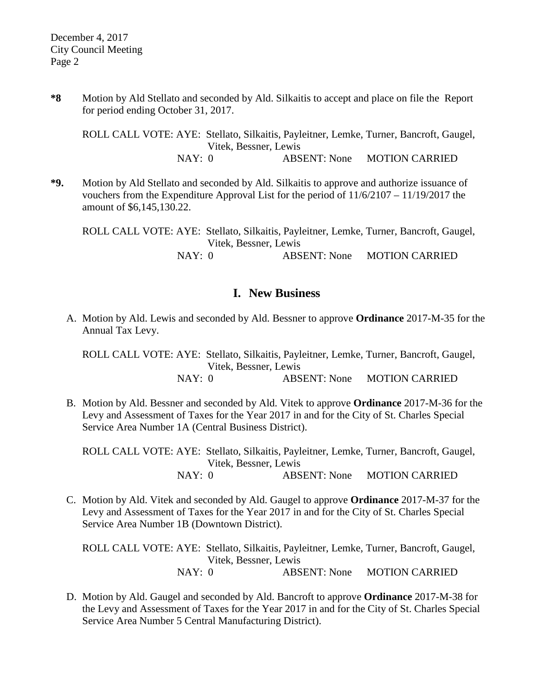**\*8** Motion by Ald Stellato and seconded by Ald. Silkaitis to accept and place on file the Report for period ending October 31, 2017.

ROLL CALL VOTE: AYE: Stellato, Silkaitis, Payleitner, Lemke, Turner, Bancroft, Gaugel, Vitek, Bessner, Lewis NAY: 0 **ABSENT: None MOTION CARRIED** 

**\*9.** Motion by Ald Stellato and seconded by Ald. Silkaitis to approve and authorize issuance of vouchers from the Expenditure Approval List for the period of 11/6/2107 – 11/19/2017 the amount of \$6,145,130.22.

ROLL CALL VOTE: AYE: Stellato, Silkaitis, Payleitner, Lemke, Turner, Bancroft, Gaugel, Vitek, Bessner, Lewis NAY: 0 **ABSENT: None MOTION CARRIED** 

### **I. New Business**

A. Motion by Ald. Lewis and seconded by Ald. Bessner to approve **Ordinance** 2017-M-35 for the Annual Tax Levy.

ROLL CALL VOTE: AYE: Stellato, Silkaitis, Payleitner, Lemke, Turner, Bancroft, Gaugel, Vitek, Bessner, Lewis NAY: 0 **ABSENT: None MOTION CARRIED** 

B. Motion by Ald. Bessner and seconded by Ald. Vitek to approve **Ordinance** 2017-M-36 for the Levy and Assessment of Taxes for the Year 2017 in and for the City of St. Charles Special Service Area Number 1A (Central Business District).

ROLL CALL VOTE: AYE: Stellato, Silkaitis, Payleitner, Lemke, Turner, Bancroft, Gaugel, Vitek, Bessner, Lewis NAY: 0 ABSENT: None MOTION CARRIED

C. Motion by Ald. Vitek and seconded by Ald. Gaugel to approve **Ordinance** 2017-M-37 for the Levy and Assessment of Taxes for the Year 2017 in and for the City of St. Charles Special Service Area Number 1B (Downtown District).

ROLL CALL VOTE: AYE: Stellato, Silkaitis, Payleitner, Lemke, Turner, Bancroft, Gaugel, Vitek, Bessner, Lewis NAY: 0 ABSENT: None MOTION CARRIED

D. Motion by Ald. Gaugel and seconded by Ald. Bancroft to approve **Ordinance** 2017-M-38 for the Levy and Assessment of Taxes for the Year 2017 in and for the City of St. Charles Special Service Area Number 5 Central Manufacturing District).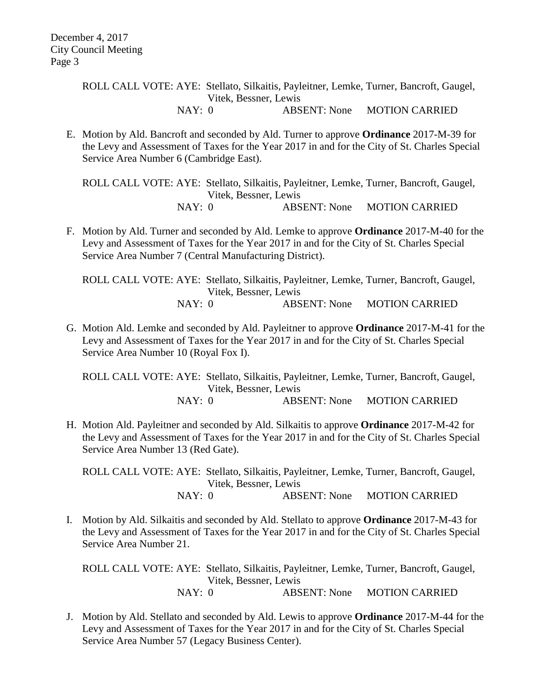E. Motion by Ald. Bancroft and seconded by Ald. Turner to approve **Ordinance** 2017-M-39 for the Levy and Assessment of Taxes for the Year 2017 in and for the City of St. Charles Special Service Area Number 6 (Cambridge East).

ROLL CALL VOTE: AYE: Stellato, Silkaitis, Payleitner, Lemke, Turner, Bancroft, Gaugel, Vitek, Bessner, Lewis NAY: 0 ABSENT: None MOTION CARRIED

F. Motion by Ald. Turner and seconded by Ald. Lemke to approve **Ordinance** 2017-M-40 for the Levy and Assessment of Taxes for the Year 2017 in and for the City of St. Charles Special Service Area Number 7 (Central Manufacturing District).

ROLL CALL VOTE: AYE: Stellato, Silkaitis, Payleitner, Lemke, Turner, Bancroft, Gaugel, Vitek, Bessner, Lewis NAY: 0 ABSENT: None MOTION CARRIED

G. Motion Ald. Lemke and seconded by Ald. Payleitner to approve **Ordinance** 2017-M-41 for the Levy and Assessment of Taxes for the Year 2017 in and for the City of St. Charles Special Service Area Number 10 (Royal Fox I).

ROLL CALL VOTE: AYE: Stellato, Silkaitis, Payleitner, Lemke, Turner, Bancroft, Gaugel, Vitek, Bessner, Lewis NAY: 0 **ABSENT: None MOTION CARRIED** 

H. Motion Ald. Payleitner and seconded by Ald. Silkaitis to approve **Ordinance** 2017-M-42 for the Levy and Assessment of Taxes for the Year 2017 in and for the City of St. Charles Special Service Area Number 13 (Red Gate).

ROLL CALL VOTE: AYE: Stellato, Silkaitis, Payleitner, Lemke, Turner, Bancroft, Gaugel, Vitek, Bessner, Lewis **NAY: 0 ABSENT: None MOTION CARRIED** 

I. Motion by Ald. Silkaitis and seconded by Ald. Stellato to approve **Ordinance** 2017-M-43 for the Levy and Assessment of Taxes for the Year 2017 in and for the City of St. Charles Special Service Area Number 21.

ROLL CALL VOTE: AYE: Stellato, Silkaitis, Payleitner, Lemke, Turner, Bancroft, Gaugel, Vitek, Bessner, Lewis

NAY: 0 **ABSENT: None MOTION CARRIED** 

J. Motion by Ald. Stellato and seconded by Ald. Lewis to approve **Ordinance** 2017-M-44 for the Levy and Assessment of Taxes for the Year 2017 in and for the City of St. Charles Special Service Area Number 57 (Legacy Business Center).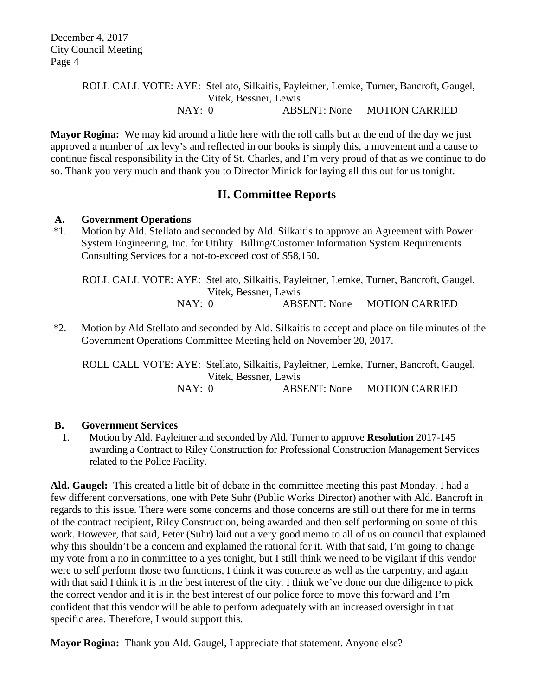**Mayor Rogina:** We may kid around a little here with the roll calls but at the end of the day we just approved a number of tax levy's and reflected in our books is simply this, a movement and a cause to continue fiscal responsibility in the City of St. Charles, and I'm very proud of that as we continue to do so. Thank you very much and thank you to Director Minick for laying all this out for us tonight.

## **II. Committee Reports**

#### **A. Government Operations**

\*1. Motion by Ald. Stellato and seconded by Ald. Silkaitis to approve an Agreement with Power System Engineering, Inc. for Utility Billing/Customer Information System Requirements Consulting Services for a not-to-exceed cost of \$58,150.

ROLL CALL VOTE: AYE: Stellato, Silkaitis, Payleitner, Lemke, Turner, Bancroft, Gaugel, Vitek, Bessner, Lewis NAY: 0 ABSENT: None MOTION CARRIED

\*2. Motion by Ald Stellato and seconded by Ald. Silkaitis to accept and place on file minutes of the Government Operations Committee Meeting held on November 20, 2017.

ROLL CALL VOTE: AYE: Stellato, Silkaitis, Payleitner, Lemke, Turner, Bancroft, Gaugel, Vitek, Bessner, Lewis NAY: 0 ABSENT: None MOTION CARRIED

#### **B. Government Services**

1. Motion by Ald. Payleitner and seconded by Ald. Turner to approve **Resolution** 2017-145 awarding a Contract to Riley Construction for Professional Construction Management Services related to the Police Facility.

**Ald. Gaugel:** This created a little bit of debate in the committee meeting this past Monday. I had a few different conversations, one with Pete Suhr (Public Works Director) another with Ald. Bancroft in regards to this issue. There were some concerns and those concerns are still out there for me in terms of the contract recipient, Riley Construction, being awarded and then self performing on some of this work. However, that said, Peter (Suhr) laid out a very good memo to all of us on council that explained why this shouldn't be a concern and explained the rational for it. With that said, I'm going to change my vote from a no in committee to a yes tonight, but I still think we need to be vigilant if this vendor were to self perform those two functions, I think it was concrete as well as the carpentry, and again with that said I think it is in the best interest of the city. I think we've done our due diligence to pick the correct vendor and it is in the best interest of our police force to move this forward and I'm confident that this vendor will be able to perform adequately with an increased oversight in that specific area. Therefore, I would support this.

**Mayor Rogina:** Thank you Ald. Gaugel, I appreciate that statement. Anyone else?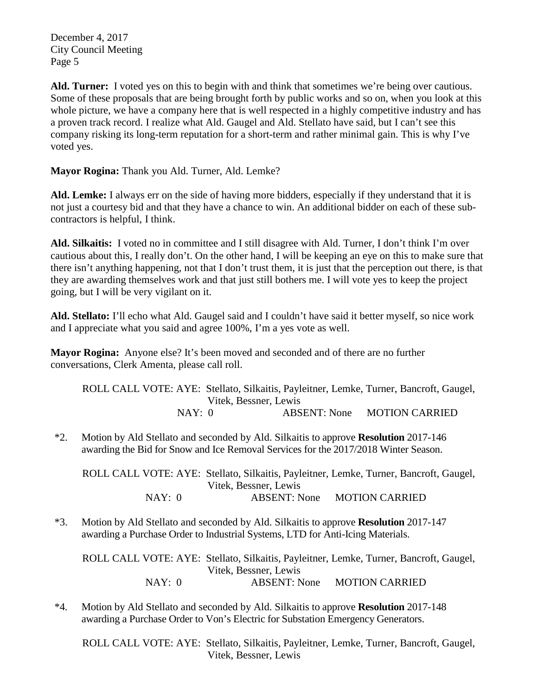December 4, 2017 City Council Meeting Page 5

**Ald. Turner:** I voted yes on this to begin with and think that sometimes we're being over cautious. Some of these proposals that are being brought forth by public works and so on, when you look at this whole picture, we have a company here that is well respected in a highly competitive industry and has a proven track record. I realize what Ald. Gaugel and Ald. Stellato have said, but I can't see this company risking its long-term reputation for a short-term and rather minimal gain. This is why I've voted yes.

**Mayor Rogina:** Thank you Ald. Turner, Ald. Lemke?

**Ald. Lemke:** I always err on the side of having more bidders, especially if they understand that it is not just a courtesy bid and that they have a chance to win. An additional bidder on each of these subcontractors is helpful, I think.

**Ald. Silkaitis:** I voted no in committee and I still disagree with Ald. Turner, I don't think I'm over cautious about this, I really don't. On the other hand, I will be keeping an eye on this to make sure that there isn't anything happening, not that I don't trust them, it is just that the perception out there, is that they are awarding themselves work and that just still bothers me. I will vote yes to keep the project going, but I will be very vigilant on it.

**Ald. Stellato:** I'll echo what Ald. Gaugel said and I couldn't have said it better myself, so nice work and I appreciate what you said and agree 100%, I'm a yes vote as well.

**Mayor Rogina:** Anyone else? It's been moved and seconded and of there are no further conversations, Clerk Amenta, please call roll.

ROLL CALL VOTE: AYE: Stellato, Silkaitis, Payleitner, Lemke, Turner, Bancroft, Gaugel, Vitek, Bessner, Lewis NAY: 0 ABSENT: None MOTION CARRIED

\*2. Motion by Ald Stellato and seconded by Ald. Silkaitis to approve **Resolution** 2017-146 awarding the Bid for Snow and Ice Removal Services for the 2017/2018 Winter Season.

ROLL CALL VOTE: AYE: Stellato, Silkaitis, Payleitner, Lemke, Turner, Bancroft, Gaugel, Vitek, Bessner, Lewis NAY: 0 ABSENT: None MOTION CARRIED

\*3. Motion by Ald Stellato and seconded by Ald. Silkaitis to approve **Resolution** 2017-147 awarding a Purchase Order to Industrial Systems, LTD for Anti-Icing Materials.

ROLL CALL VOTE: AYE: Stellato, Silkaitis, Payleitner, Lemke, Turner, Bancroft, Gaugel, Vitek, Bessner, Lewis NAY: 0 ABSENT: None MOTION CARRIED

\*4. Motion by Ald Stellato and seconded by Ald. Silkaitis to approve **Resolution** 2017-148 awarding a Purchase Order to Von's Electric for Substation Emergency Generators.

ROLL CALL VOTE: AYE: Stellato, Silkaitis, Payleitner, Lemke, Turner, Bancroft, Gaugel, Vitek, Bessner, Lewis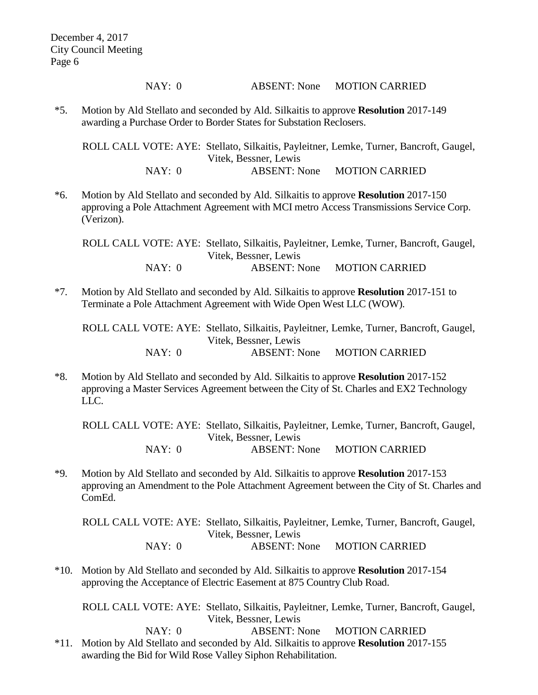NAY: 0 ABSENT: None MOTION CARRIED

\*5. Motion by Ald Stellato and seconded by Ald. Silkaitis to approve **Resolution** 2017-149 awarding a Purchase Order to Border States for Substation Reclosers.

ROLL CALL VOTE: AYE: Stellato, Silkaitis, Payleitner, Lemke, Turner, Bancroft, Gaugel, Vitek, Bessner, Lewis NAY: 0 ABSENT: None MOTION CARRIED

\*6. Motion by Ald Stellato and seconded by Ald. Silkaitis to approve **Resolution** 2017-150 approving a Pole Attachment Agreement with MCI metro Access Transmissions Service Corp. (Verizon).

ROLL CALL VOTE: AYE: Stellato, Silkaitis, Payleitner, Lemke, Turner, Bancroft, Gaugel, Vitek, Bessner, Lewis NAY: 0 ABSENT: None MOTION CARRIED

\*7. Motion by Ald Stellato and seconded by Ald. Silkaitis to approve **Resolution** 2017-151 to Terminate a Pole Attachment Agreement with Wide Open West LLC (WOW).

ROLL CALL VOTE: AYE: Stellato, Silkaitis, Payleitner, Lemke, Turner, Bancroft, Gaugel, Vitek, Bessner, Lewis NAY: 0 ABSENT: None MOTION CARRIED

\*8. Motion by Ald Stellato and seconded by Ald. Silkaitis to approve **Resolution** 2017-152 approving a Master Services Agreement between the City of St. Charles and EX2 Technology LLC.

ROLL CALL VOTE: AYE: Stellato, Silkaitis, Payleitner, Lemke, Turner, Bancroft, Gaugel, Vitek, Bessner, Lewis NAY: 0 ABSENT: None MOTION CARRIED

\*9. Motion by Ald Stellato and seconded by Ald. Silkaitis to approve **Resolution** 2017-153 approving an Amendment to the Pole Attachment Agreement between the City of St. Charles and ComEd.

ROLL CALL VOTE: AYE: Stellato, Silkaitis, Payleitner, Lemke, Turner, Bancroft, Gaugel, Vitek, Bessner, Lewis NAY: 0 ABSENT: None MOTION CARRIED

\*10. Motion by Ald Stellato and seconded by Ald. Silkaitis to approve **Resolution** 2017-154 approving the Acceptance of Electric Easement at 875 Country Club Road.

ROLL CALL VOTE: AYE: Stellato, Silkaitis, Payleitner, Lemke, Turner, Bancroft, Gaugel, Vitek, Bessner, Lewis NAY: 0 ABSENT: None MOTION CARRIED

\*11. Motion by Ald Stellato and seconded by Ald. Silkaitis to approve **Resolution** 2017-155 awarding the Bid for Wild Rose Valley Siphon Rehabilitation.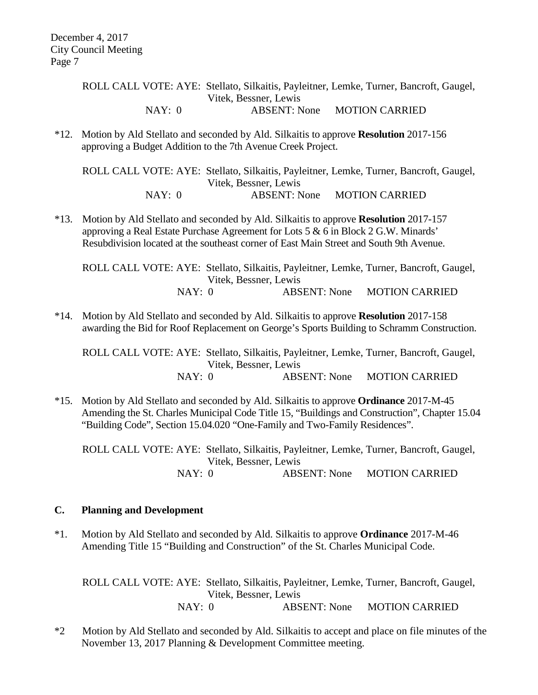\*12. Motion by Ald Stellato and seconded by Ald. Silkaitis to approve **Resolution** 2017-156 approving a Budget Addition to the 7th Avenue Creek Project.

ROLL CALL VOTE: AYE: Stellato, Silkaitis, Payleitner, Lemke, Turner, Bancroft, Gaugel, Vitek, Bessner, Lewis NAY: 0 ABSENT: None MOTION CARRIED

\*13. Motion by Ald Stellato and seconded by Ald. Silkaitis to approve **Resolution** 2017-157 approving a Real Estate Purchase Agreement for Lots 5 & 6 in Block 2 G.W. Minards' Resubdivision located at the southeast corner of East Main Street and South 9th Avenue.

ROLL CALL VOTE: AYE: Stellato, Silkaitis, Payleitner, Lemke, Turner, Bancroft, Gaugel, Vitek, Bessner, Lewis NAY: 0 ABSENT: None MOTION CARRIED

\*14. Motion by Ald Stellato and seconded by Ald. Silkaitis to approve **Resolution** 2017-158 awarding the Bid for Roof Replacement on George's Sports Building to Schramm Construction.

ROLL CALL VOTE: AYE: Stellato, Silkaitis, Payleitner, Lemke, Turner, Bancroft, Gaugel, Vitek, Bessner, Lewis NAY: 0 ABSENT: None MOTION CARRIED

\*15. Motion by Ald Stellato and seconded by Ald. Silkaitis to approve **Ordinance** 2017-M-45 Amending the St. Charles Municipal Code Title 15, "Buildings and Construction", Chapter 15.04 "Building Code", Section 15.04.020 "One-Family and Two-Family Residences".

ROLL CALL VOTE: AYE: Stellato, Silkaitis, Payleitner, Lemke, Turner, Bancroft, Gaugel, Vitek, Bessner, Lewis NAY: 0 ABSENT: None MOTION CARRIED

#### **C. Planning and Development**

\*1. Motion by Ald Stellato and seconded by Ald. Silkaitis to approve **Ordinance** 2017-M-46 Amending Title 15 "Building and Construction" of the St. Charles Municipal Code.

ROLL CALL VOTE: AYE: Stellato, Silkaitis, Payleitner, Lemke, Turner, Bancroft, Gaugel, Vitek, Bessner, Lewis NAY: 0 ABSENT: None MOTION CARRIED

\*2 Motion by Ald Stellato and seconded by Ald. Silkaitis to accept and place on file minutes of the November 13, 2017 Planning & Development Committee meeting.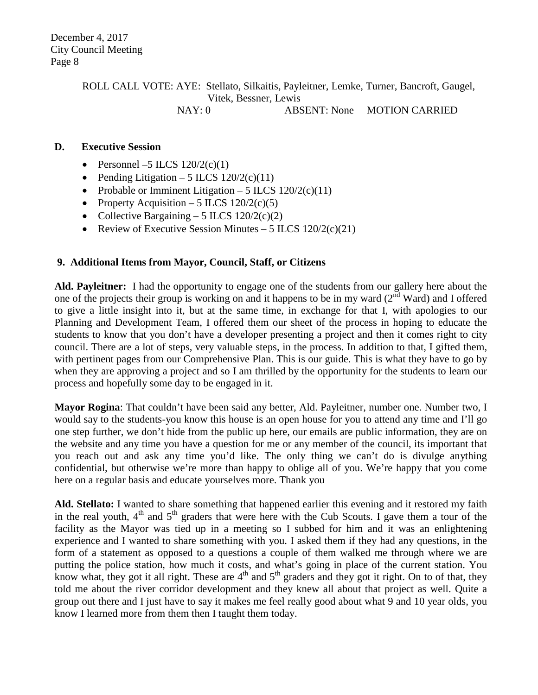#### **D. Executive Session**

- Personnel –5 ILCS  $120/2(c)(1)$
- Pending Litigation 5 ILCS  $120/2(c)(11)$
- Probable or Imminent Litigation 5 ILCS  $120/2(c)(11)$
- Property Acquisition 5 ILCS  $120/2(c)(5)$
- Collective Bargaining 5 ILCS  $120/2(c)(2)$
- Review of Executive Session Minutes 5 ILCS  $120/2(c)(21)$

#### **9. Additional Items from Mayor, Council, Staff, or Citizens**

**Ald. Payleitner:** I had the opportunity to engage one of the students from our gallery here about the one of the projects their group is working on and it happens to be in my ward  $(2^{nd}$  Ward) and I offered to give a little insight into it, but at the same time, in exchange for that I, with apologies to our Planning and Development Team, I offered them our sheet of the process in hoping to educate the students to know that you don't have a developer presenting a project and then it comes right to city council. There are a lot of steps, very valuable steps, in the process. In addition to that, I gifted them, with pertinent pages from our Comprehensive Plan. This is our guide. This is what they have to go by when they are approving a project and so I am thrilled by the opportunity for the students to learn our process and hopefully some day to be engaged in it.

**Mayor Rogina**: That couldn't have been said any better, Ald. Payleitner, number one. Number two, I would say to the students-you know this house is an open house for you to attend any time and I'll go one step further, we don't hide from the public up here, our emails are public information, they are on the website and any time you have a question for me or any member of the council, its important that you reach out and ask any time you'd like. The only thing we can't do is divulge anything confidential, but otherwise we're more than happy to oblige all of you. We're happy that you come here on a regular basis and educate yourselves more. Thank you

**Ald. Stellato:** I wanted to share something that happened earlier this evening and it restored my faith in the real youth,  $4<sup>th</sup>$  and  $5<sup>th</sup>$  graders that were here with the Cub Scouts. I gave them a tour of the facility as the Mayor was tied up in a meeting so I subbed for him and it was an enlightening experience and I wanted to share something with you. I asked them if they had any questions, in the form of a statement as opposed to a questions a couple of them walked me through where we are putting the police station, how much it costs, and what's going in place of the current station. You know what, they got it all right. These are  $4<sup>th</sup>$  and  $5<sup>th</sup>$  graders and they got it right. On to of that, they told me about the river corridor development and they knew all about that project as well. Quite a group out there and I just have to say it makes me feel really good about what 9 and 10 year olds, you know I learned more from them then I taught them today.